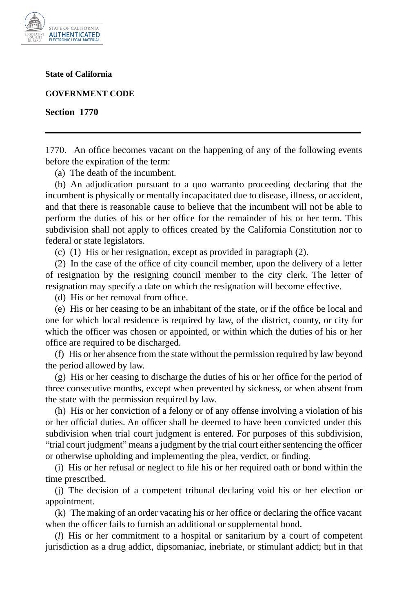

**State of California**

**GOVERNMENT CODE**

**Section 1770**

1770. An office becomes vacant on the happening of any of the following events before the expiration of the term:

(a) The death of the incumbent.

(b) An adjudication pursuant to a quo warranto proceeding declaring that the incumbent is physically or mentally incapacitated due to disease, illness, or accident, and that there is reasonable cause to believe that the incumbent will not be able to perform the duties of his or her office for the remainder of his or her term. This subdivision shall not apply to offices created by the California Constitution nor to federal or state legislators.

(c) (1) His or her resignation, except as provided in paragraph (2).

(2) In the case of the office of city council member, upon the delivery of a letter of resignation by the resigning council member to the city clerk. The letter of resignation may specify a date on which the resignation will become effective.

(d) His or her removal from office.

(e) His or her ceasing to be an inhabitant of the state, or if the office be local and one for which local residence is required by law, of the district, county, or city for which the officer was chosen or appointed, or within which the duties of his or her office are required to be discharged.

(f) His or her absence from the state without the permission required by law beyond the period allowed by law.

(g) His or her ceasing to discharge the duties of his or her office for the period of three consecutive months, except when prevented by sickness, or when absent from the state with the permission required by law.

(h) His or her conviction of a felony or of any offense involving a violation of his or her official duties. An officer shall be deemed to have been convicted under this subdivision when trial court judgment is entered. For purposes of this subdivision, "trial court judgment" means a judgment by the trial court either sentencing the officer or otherwise upholding and implementing the plea, verdict, or finding.

(i) His or her refusal or neglect to file his or her required oath or bond within the time prescribed.

(j) The decision of a competent tribunal declaring void his or her election or appointment.

(k) The making of an order vacating his or her office or declaring the office vacant when the officer fails to furnish an additional or supplemental bond.

(*l*) His or her commitment to a hospital or sanitarium by a court of competent jurisdiction as a drug addict, dipsomaniac, inebriate, or stimulant addict; but in that